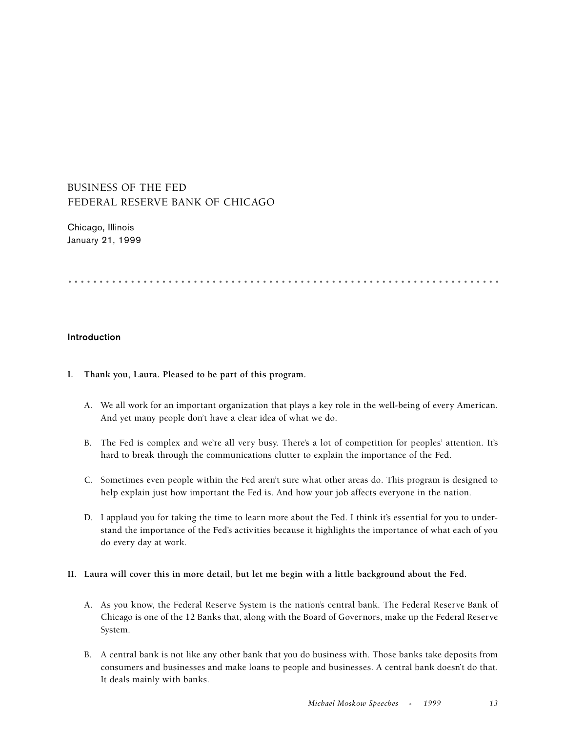# BUSINESS OF THE FED FEDERAL RESERVE BANK OF CHICAGO

Chicago, Illinois January 21, 1999

.....................................................................

## **Introduction**

## **I. Thank you, Laura. Pleased to be part of this program.**

- A. We all work for an important organization that plays a key role in the well-being of every American. And yet many people don't have a clear idea of what we do.
- B. The Fed is complex and we're all very busy. There's a lot of competition for peoples' attention. It's hard to break through the communications clutter to explain the importance of the Fed.
- C. Sometimes even people within the Fed aren't sure what other areas do. This program is designed to help explain just how important the Fed is. And how your job affects everyone in the nation.
- D. I applaud you for taking the time to learn more about the Fed. I think it's essential for you to understand the importance of the Fed's activities because it highlights the importance of what each of you do every day at work.

# **II. Laura will cover this in more detail, but let me begin with a little background about the Fed.**

- A. As you know, the Federal Reserve System is the nation's central bank. The Federal Reserve Bank of Chicago is one of the 12 Banks that, along with the Board of Governors, make up the Federal Reserve System.
- B. A central bank is not like any other bank that you do business with. Those banks take deposits from consumers and businesses and make loans to people and businesses. A central bank doesn't do that. It deals mainly with banks.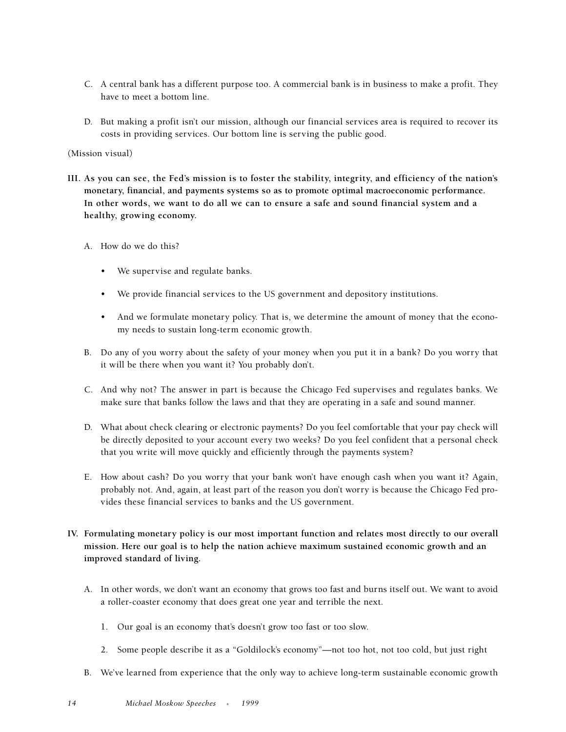- C. A central bank has a different purpose too. A commercial bank is in business to make a profit. They have to meet a bottom line.
- D. But making a profit isn't our mission, although our financial services area is required to recover its costs in providing services. Our bottom line is serving the public good.

## (Mission visual)

- **III. As you can see, the Fed's mission is to foster the stability, integrity, and efficiency of the nation's monetary, financial, and payments systems so as to promote optimal macroeconomic performance. In other words, we want to do all we can to ensure a safe and sound financial system and a healthy, growing economy.**
	- A. How do we do this?
		- We supervise and regulate banks.
		- We provide financial services to the US government and depository institutions.
		- And we formulate monetary policy. That is, we determine the amount of money that the economy needs to sustain long-term economic growth.
	- B. Do any of you worry about the safety of your money when you put it in a bank? Do you worry that it will be there when you want it? You probably don't.
	- C. And why not? The answer in part is because the Chicago Fed supervises and regulates banks. We make sure that banks follow the laws and that they are operating in a safe and sound manner.
	- D. What about check clearing or electronic payments? Do you feel comfortable that your pay check will be directly deposited to your account every two weeks? Do you feel confident that a personal check that you write will move quickly and efficiently through the payments system?
	- E. How about cash? Do you worry that your bank won't have enough cash when you want it? Again, probably not. And, again, at least part of the reason you don't worry is because the Chicago Fed provides these financial services to banks and the US government.
- **IV. Formulating monetary policy is our most important function and relates most directly to our overall mission. Here our goal is to help the nation achieve maximum sustained economic growth and an improved standard of living.**
	- A. In other words, we don't want an economy that grows too fast and burns itself out. We want to avoid a roller-coaster economy that does great one year and terrible the next.
		- 1. Our goal is an economy that's doesn't grow too fast or too slow.
		- 2. Some people describe it as a "Goldilock's economy"—not too hot, not too cold, but just right
	- B. We've learned from experience that the only way to achieve long-term sustainable economic growth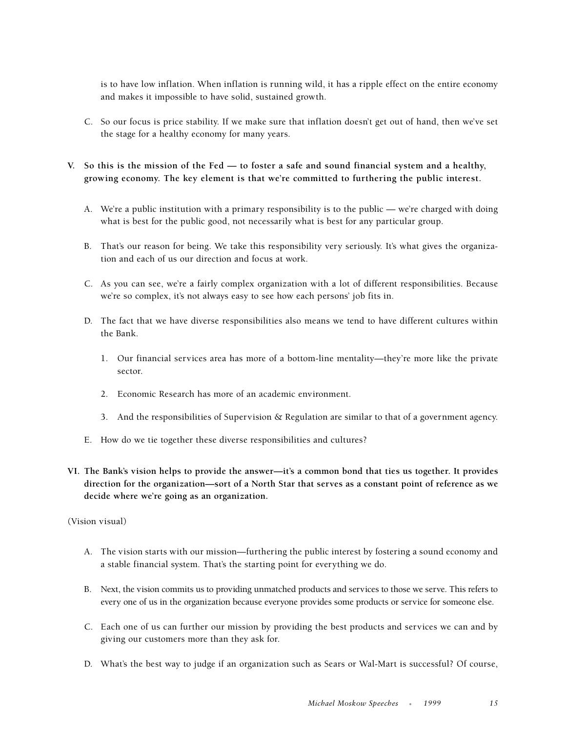is to have low inflation. When inflation is running wild, it has a ripple effect on the entire economy and makes it impossible to have solid, sustained growth.

- C. So our focus is price stability. If we make sure that inflation doesn't get out of hand, then we've set the stage for a healthy economy for many years.
- **V. So this is the mission of the Fed to foster a safe and sound financial system and a healthy, growing economy. The key element is that we're committed to furthering the public interest.**
	- A. We're a public institution with a primary responsibility is to the public we're charged with doing what is best for the public good, not necessarily what is best for any particular group.
	- B. That's our reason for being. We take this responsibility very seriously. It's what gives the organization and each of us our direction and focus at work.
	- C. As you can see, we're a fairly complex organization with a lot of different responsibilities. Because we're so complex, it's not always easy to see how each persons' job fits in.
	- D. The fact that we have diverse responsibilities also means we tend to have different cultures within the Bank.
		- 1. Our financial services area has more of a bottom-line mentality—they're more like the private sector.
		- 2. Economic Research has more of an academic environment.
		- 3. And the responsibilities of Supervision & Regulation are similar to that of a government agency.
	- E. How do we tie together these diverse responsibilities and cultures?
- **VI. The Bank's vision helps to provide the answer—it's a common bond that ties us together. It provides direction for the organization—sort of a North Star that serves as a constant point of reference as we decide where we're going as an organization.**

(Vision visual)

- A. The vision starts with our mission—furthering the public interest by fostering a sound economy and a stable financial system. That's the starting point for everything we do.
- B. Next, the vision commits us to providing unmatched products and services to those we serve. This refers to every one of us in the organization because everyone provides some products or service for someone else.
- C. Each one of us can further our mission by providing the best products and services we can and by giving our customers more than they ask for.
- D. What's the best way to judge if an organization such as Sears or Wal-Mart is successful? Of course,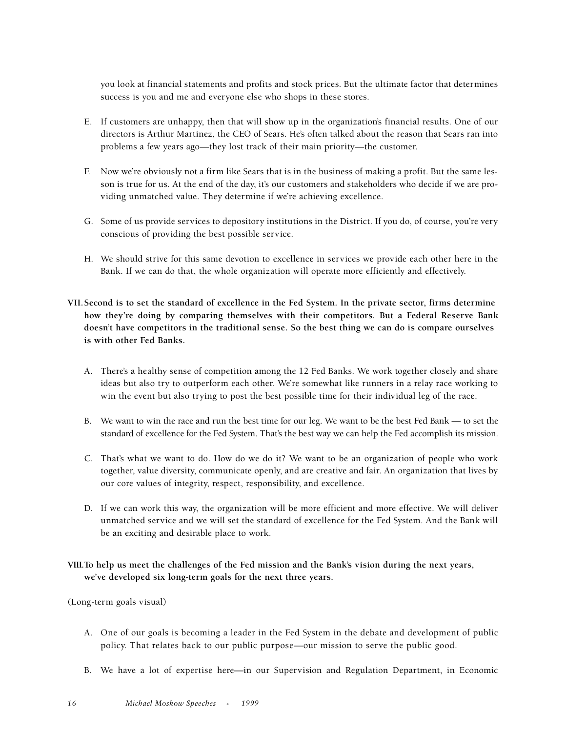you look at financial statements and profits and stock prices. But the ultimate factor that determines success is you and me and everyone else who shops in these stores.

- E. If customers are unhappy, then that will show up in the organization's financial results. One of our directors is Arthur Martinez, the CEO of Sears. He's often talked about the reason that Sears ran into problems a few years ago—they lost track of their main priority—the customer.
- F. Now we're obviously not a firm like Sears that is in the business of making a profit. But the same lesson is true for us. At the end of the day, it's our customers and stakeholders who decide if we are providing unmatched value. They determine if we're achieving excellence.
- G. Some of us provide services to depository institutions in the District. If you do, of course, you're very conscious of providing the best possible service.
- H. We should strive for this same devotion to excellence in services we provide each other here in the Bank. If we can do that, the whole organization will operate more efficiently and effectively.
- **VII.Second is to set the standard of excellence in the Fed System. In the private sector, firms determine how they're doing by comparing themselves with their competitors. But a Federal Reserve Bank doesn't have competitors in the traditional sense. So the best thing we can do is compare ourselves is with other Fed Banks.**
	- A. There's a healthy sense of competition among the 12 Fed Banks. We work together closely and share ideas but also try to outperform each other. We're somewhat like runners in a relay race working to win the event but also trying to post the best possible time for their individual leg of the race.
	- B. We want to win the race and run the best time for our leg. We want to be the best Fed Bank to set the standard of excellence for the Fed System. That's the best way we can help the Fed accomplish its mission.
	- C. That's what we want to do. How do we do it? We want to be an organization of people who work together, value diversity, communicate openly, and are creative and fair. An organization that lives by our core values of integrity, respect, responsibility, and excellence.
	- D. If we can work this way, the organization will be more efficient and more effective. We will deliver unmatched service and we will set the standard of excellence for the Fed System. And the Bank will be an exciting and desirable place to work.
- **VIII.To help us meet the challenges of the Fed mission and the Bank's vision during the next years, we've developed six long-term goals for the next three years.**

(Long-term goals visual)

- A. One of our goals is becoming a leader in the Fed System in the debate and development of public policy. That relates back to our public purpose—our mission to serve the public good.
- B. We have a lot of expertise here—in our Supervision and Regulation Department, in Economic